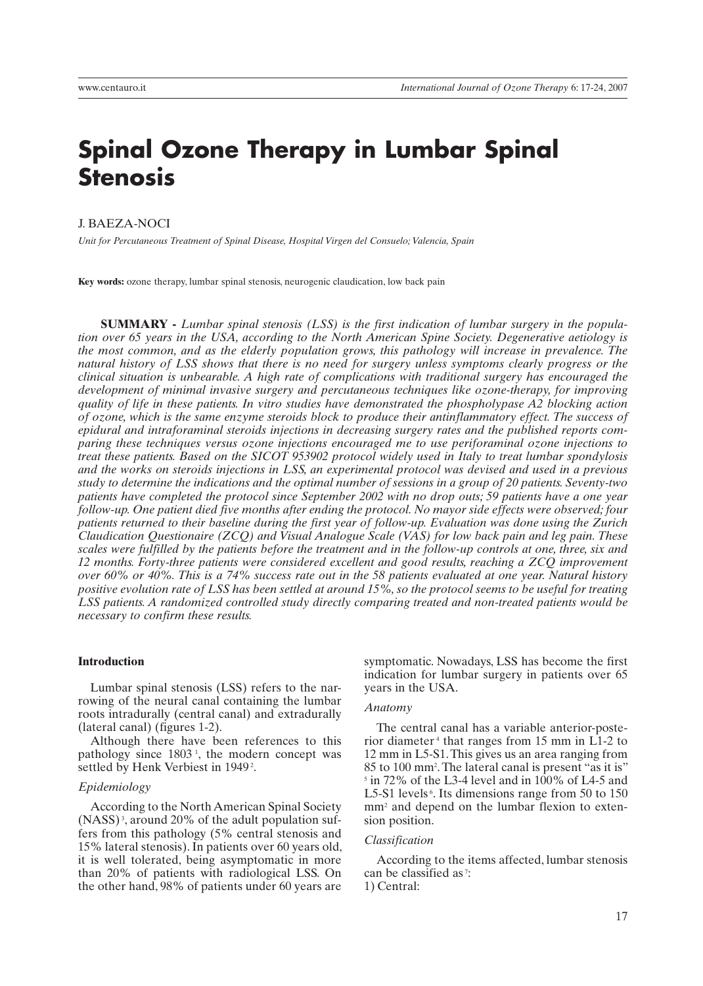# **Spinal Ozone Therapy in Lumbar Spinal Stenosis**

J. BAEZA-NOCI

*Unit for Percutaneous Treatment of Spinal Disease, Hospital Virgen del Consuelo; Valencia, Spain*

**Key words:** ozone therapy, lumbar spinal stenosis, neurogenic claudication, low back pain

**SUMMARY -** *Lumbar spinal stenosis (LSS) is the first indication of lumbar surgery in the population over 65 years in the USA, according to the North American Spine Society. Degenerative aetiology is the most common, and as the elderly population grows, this pathology will increase in prevalence. The natural history of LSS shows that there is no need for surgery unless symptoms clearly progress or the clinical situation is unbearable. A high rate of complications with traditional surgery has encouraged the development of minimal invasive surgery and percutaneous techniques like ozone-therapy, for improving quality of life in these patients. In vitro studies have demonstrated the phospholypase A2 blocking action of ozone, which is the same enzyme steroids block to produce their antinflammatory effect. The success of epidural and intraforaminal steroids injections in decreasing surgery rates and the published reports comparing these techniques versus ozone injections encouraged me to use periforaminal ozone injections to treat these patients. Based on the SICOT 953902 protocol widely used in Italy to treat lumbar spondylosis and the works on steroids injections in LSS, an experimental protocol was devised and used in a previous study to determine the indications and the optimal number of sessions in a group of 20 patients. Seventy-two patients have completed the protocol since September 2002 with no drop outs; 59 patients have a one year follow-up. One patient died five months after ending the protocol. No mayor side effects were observed; four patients returned to their baseline during the first year of follow-up. Evaluation was done using the Zurich Claudication Questionaire (ZCQ) and Visual Analogue Scale (VAS) for low back pain and leg pain. These scales were fulfilled by the patients before the treatment and in the follow-up controls at one, three, six and 12 months. Forty-three patients were considered excellent and good results, reaching a ZCQ improvement over 60% or 40%. This is a 74% success rate out in the 58 patients evaluated at one year. Natural history positive evolution rate of LSS has been settled at around 15%, so the protocol seems to be useful for treating LSS patients. A randomized controlled study directly comparing treated and non-treated patients would be necessary to confirm these results.*

# **Introduction**

Lumbar spinal stenosis (LSS) refers to the narrowing of the neural canal containing the lumbar roots intradurally (central canal) and extradurally (lateral canal) (figures 1-2).

Although there have been references to this pathology since  $1803<sup>1</sup>$ , the modern concept was settled by Henk Verbiest in 1949<sup>2</sup>.

### *Epidemiology*

According to the North American Spinal Society  $(NASS)^3$ , around 20% of the adult population suffers from this pathology (5% central stenosis and 15% lateral stenosis). In patients over 60 years old, it is well tolerated, being asymptomatic in more than 20% of patients with radiological LSS. On the other hand, 98% of patients under 60 years are

symptomatic. Nowadays, LSS has become the first indication for lumbar surgery in patients over 65 years in the USA.

### *Anatomy*

The central canal has a variable anterior-posterior diameter 4 that ranges from 15 mm in L1-2 to 12 mm in L5-S1. This gives us an area ranging from 85 to 100 mm2 . The lateral canal is present "as it is" 5 in 72% of the L3-4 level and in 100% of L4-5 and L5-S1 levels<sup>6</sup>. Its dimensions range from 50 to 150 mm<sup>2</sup> and depend on the lumbar flexion to extension position.

#### *Classification*

According to the items affected, lumbar stenosis can be classified as<sup>7</sup>:

1) Central: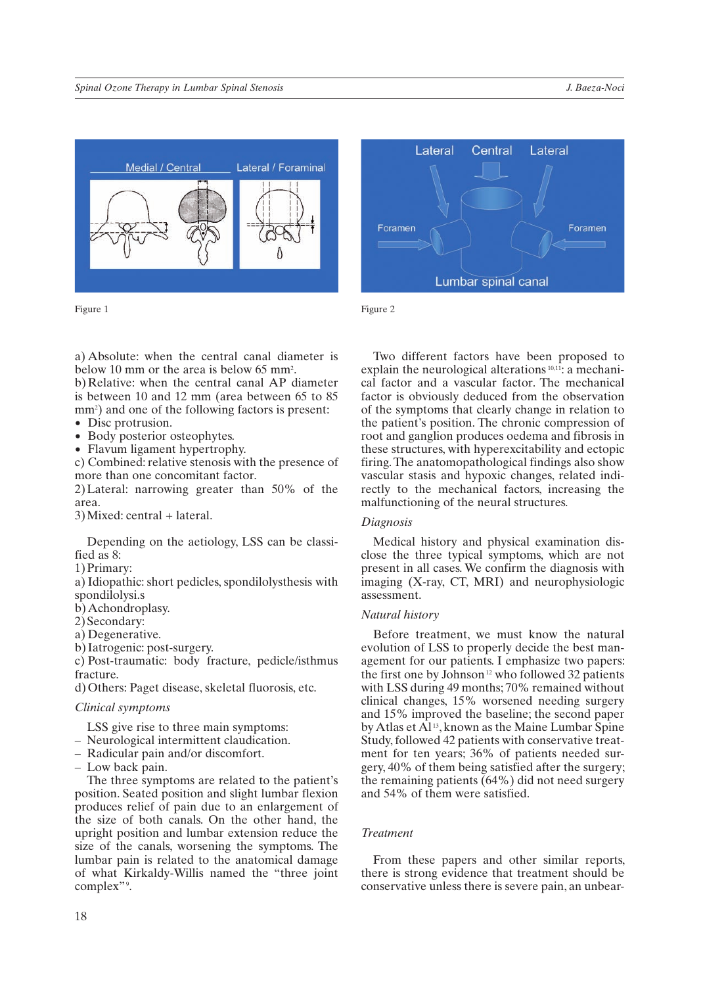

Figure 1 Figure 2

a) Absolute: when the central canal diameter is below 10 mm or the area is below 65 mm<sup>2</sup>.

b) Relative: when the central canal AP diameter is between 10 and 12 mm (area between 65 to 85 mm<sup>2</sup>) and one of the following factors is present:

- Disc protrusion.
- Body posterior osteophytes.
- Flavum ligament hypertrophy.

c) Combined: relative stenosis with the presence of more than one concomitant factor.

2) Lateral: narrowing greater than 50% of the area.

3) Mixed: central + lateral.

Depending on the aetiology, LSS can be classified as 8:

1) Primary:

a) Idiopathic: short pedicles, spondilolysthesis with spondilolysi.s

b) Achondroplasy.

2) Secondary:

- a) Degenerative.
- b) Iatrogenic: post-surgery.

c) Post-traumatic: body fracture, pedicle/isthmus fracture.

d) Others: Paget disease, skeletal fluorosis, etc.

### *Clinical symptoms*

LSS give rise to three main symptoms:

- Neurological intermittent claudication.
- Radicular pain and/or discomfort.
- Low back pain.

The three symptoms are related to the patient's position. Seated position and slight lumbar flexion produces relief of pain due to an enlargement of the size of both canals. On the other hand, the upright position and lumbar extension reduce the size of the canals, worsening the symptoms. The lumbar pain is related to the anatomical damage of what Kirkaldy-Willis named the "three joint complex".



Two different factors have been proposed to explain the neurological alterations<sup>10,11</sup>: a mechanical factor and a vascular factor. The mechanical factor is obviously deduced from the observation of the symptoms that clearly change in relation to the patient's position. The chronic compression of root and ganglion produces oedema and fibrosis in these structures, with hyperexcitability and ectopic firing. The anatomopathological findings also show vascular stasis and hypoxic changes, related indirectly to the mechanical factors, increasing the malfunctioning of the neural structures.

### *Diagnosis*

Medical history and physical examination disclose the three typical symptoms, which are not present in all cases. We confirm the diagnosis with imaging (X-ray, CT, MRI) and neurophysiologic assessment.

### *Natural history*

Before treatment, we must know the natural evolution of LSS to properly decide the best management for our patients. I emphasize two papers: the first one by Johnson 12 who followed 32 patients with LSS during 49 months; 70% remained without clinical changes, 15% worsened needing surgery and 15% improved the baseline; the second paper by Atlas et  $\overline{Al}^{13}$ , known as the Maine Lumbar Spine Study, followed 42 patients with conservative treatment for ten years; 36% of patients needed surgery, 40% of them being satisfied after the surgery; the remaining patients (64%) did not need surgery and 54% of them were satisfied.

# *Treatment*

From these papers and other similar reports, there is strong evidence that treatment should be conservative unless there is severe pain, an unbear-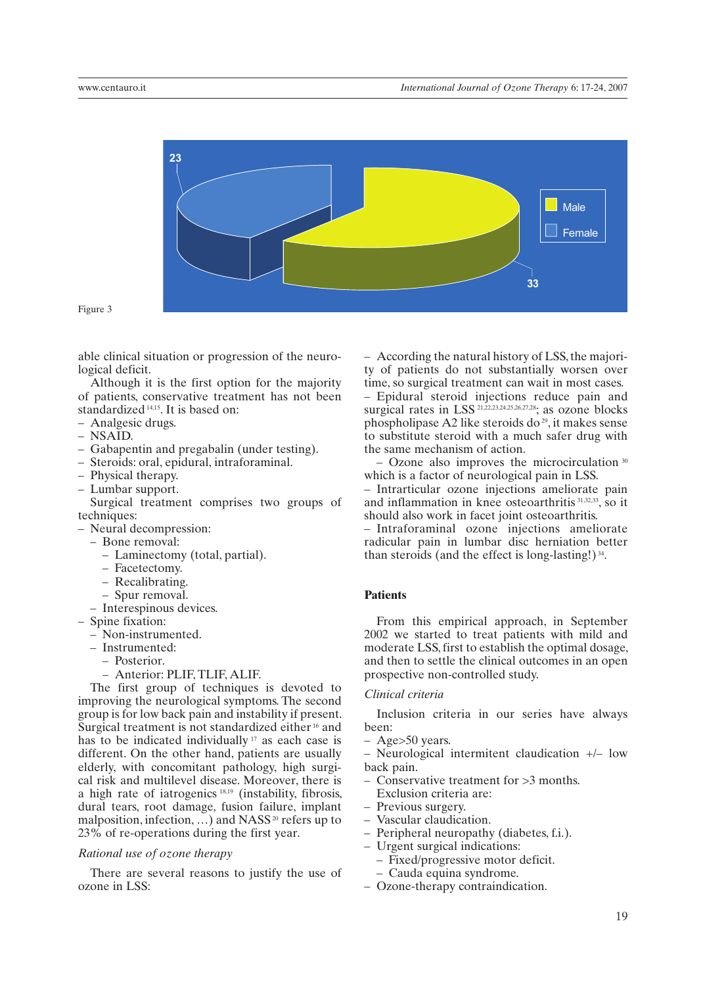

Figure 3

able clinical situation or progression of the neurological deficit.

Although it is the first option for the majority of patients, conservative treatment has not been standardized<sup>14,15</sup>. It is based on:

- Analgesic drugs.
- NSAID.
- Gabapentin and pregabalin (under testing).
- Steroids: oral, epidural, intraforaminal.
- Physical therapy.
- Lumbar support.

Surgical treatment comprises two groups of techniques:

- Neural decompression:
	- Bone removal:
		- Laminectomy (total, partial).
		- Facetectomy.
		- Recalibrating.
		- Spur removal.
	- Interespinous devices.
- Spine fixation:
	- Non-instrumented.
	- Instrumented:
		- Posterior.
		- Anterior: PLIF, TLIF, ALIF.

The first group of techniques is devoted to improving the neurological symptoms. The second group is for low back pain and instability if present. Surgical treatment is not standardized either <sup>16</sup> and has to be indicated individually<sup>17</sup> as each case is different. On the other hand, patients are usually elderly, with concomitant pathology, high surgical risk and multilevel disease. Moreover, there is a high rate of iatrogenics 18,19 (instability, fibrosis, dural tears, root damage, fusion failure, implant malposition, infection, ...) and  $NASS<sup>20</sup>$  refers up to 23% of re-operations during the first year.

### *Rational use of ozone therapy*

There are several reasons to justify the use of ozone in LSS:

– According the natural history of LSS, the majority of patients do not substantially worsen over time, so surgical treatment can wait in most cases. – Epidural steroid injections reduce pain and surgical rates in LSS 21,22,23,24,25,26,27,28; as ozone blocks phospholipase A2 like steroids do<sup>29</sup>, it makes sense to substitute steroid with a much safer drug with the same mechanism of action.

– Ozone also improves the microcirculation 30 which is a factor of neurological pain in LSS.

– Intrarticular ozone injections ameliorate pain and inflammation in knee osteoarthritis 31,32,33, so it should also work in facet joint osteoarthritis.

– Intraforaminal ozone injections ameliorate radicular pain in lumbar disc herniation better than steroids (and the effect is long-lasting!) 34.

## **Patients**

From this empirical approach, in September 2002 we started to treat patients with mild and moderate LSS, first to establish the optimal dosage, and then to settle the clinical outcomes in an open prospective non-controlled study.

### *Clinical criteria*

Inclusion criteria in our series have always been:

– Age>50 years.

– Neurological intermitent claudication +/– low back pain.

- Conservative treatment for >3 months. Exclusion criteria are:
- Previous surgery.
- Vascular claudication.
- Peripheral neuropathy (diabetes, f.i.).
- Urgent surgical indications:
	- Fixed/progressive motor deficit.
	- Cauda equina syndrome.
- Ozone-therapy contraindication.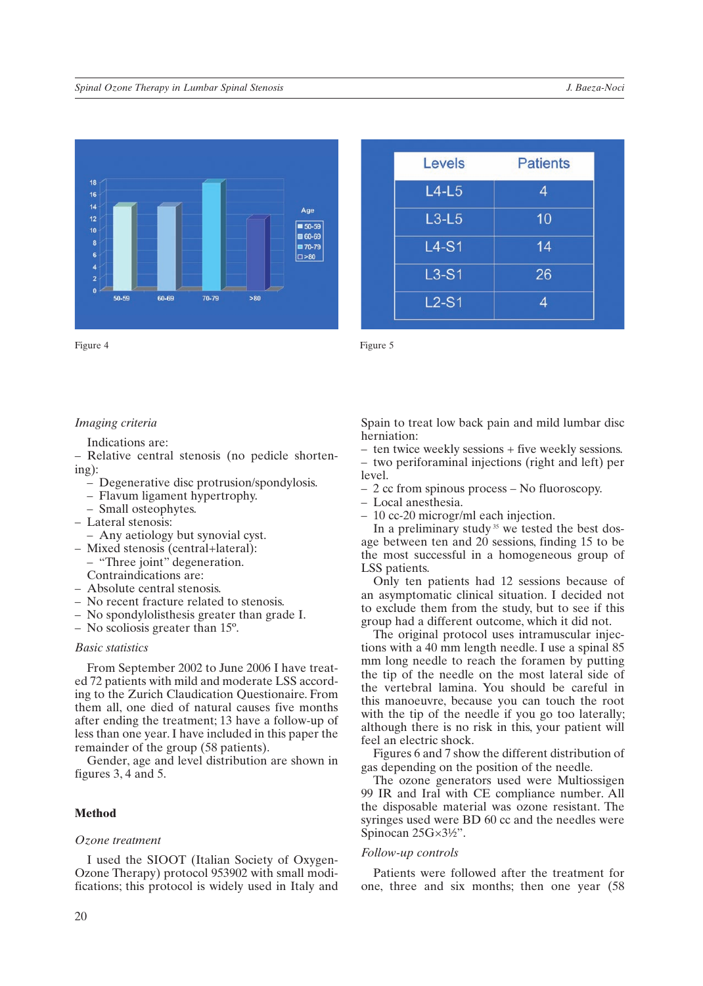

| Levels  | <b>Patients</b> |
|---------|-----------------|
| $L4-L5$ | 4               |
| $L3-L5$ | 10              |
| $L4-S1$ | 14              |
| $L3-S1$ | 26              |
| $L2-S1$ | 4               |

# *Imaging criteria*

Indications are:

– Relative central stenosis (no pedicle shortening):

- Degenerative disc protrusion/spondylosis.
- Flavum ligament hypertrophy.
- Small osteophytes.
- Lateral stenosis:
- Any aetiology but synovial cyst.
- Mixed stenosis (central+lateral):
	- "Three joint" degeneration. Contraindications are:
- Absolute central stenosis.
- No recent fracture related to stenosis.
- No spondylolisthesis greater than grade I.
- No scoliosis greater than 15º.

### *Basic statistics*

From September 2002 to June 2006 I have treated 72 patients with mild and moderate LSS according to the Zurich Claudication Questionaire. From them all, one died of natural causes five months after ending the treatment; 13 have a follow-up of less than one year. I have included in this paper the remainder of the group (58 patients).

Gender, age and level distribution are shown in figures 3, 4 and 5.

# **Method**

#### *Ozone treatment*

I used the SIOOT (Italian Society of Oxygen-Ozone Therapy) protocol 953902 with small modifications; this protocol is widely used in Italy and Spain to treat low back pain and mild lumbar disc herniation:

- ten twice weekly sessions + five weekly sessions. – two periforaminal injections (right and left) per level.
- 2 cc from spinous process No fluoroscopy.
- Local anesthesia.
- 10 cc-20 microgr/ml each injection.

In a preliminary study  $35$  we tested the best dosage between ten and 20 sessions, finding 15 to be the most successful in a homogeneous group of LSS patients.

Only ten patients had 12 sessions because of an asymptomatic clinical situation. I decided not to exclude them from the study, but to see if this group had a different outcome, which it did not.

The original protocol uses intramuscular injections with a 40 mm length needle. I use a spinal 85 mm long needle to reach the foramen by putting the tip of the needle on the most lateral side of the vertebral lamina. You should be careful in this manoeuvre, because you can touch the root with the tip of the needle if you go too laterally; although there is no risk in this, your patient will feel an electric shock.

Figures 6 and 7 show the different distribution of gas depending on the position of the needle.

The ozone generators used were Multiossigen 99 IR and Iral with CE compliance number. All the disposable material was ozone resistant. The syringes used were BD 60 cc and the needles were Spinocan 25G×3½".

### *Follow-up controls*

Patients were followed after the treatment for one, three and six months; then one year (58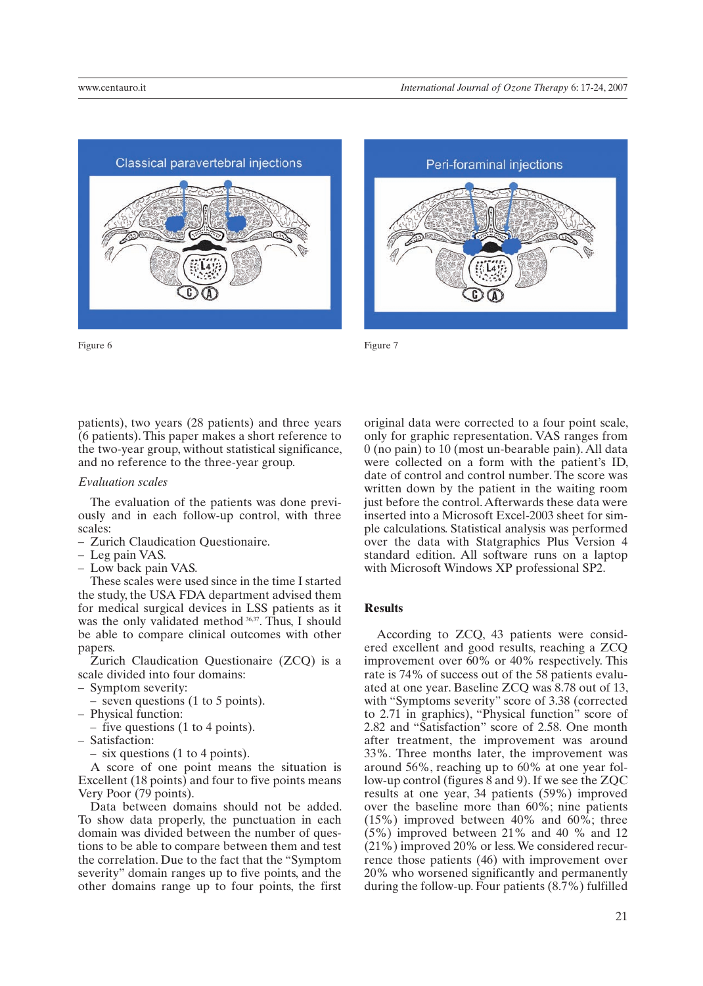

Figure 6 Figure 7



patients), two years (28 patients) and three years (6 patients). This paper makes a short reference to the two-year group, without statistical significance, and no reference to the three-year group.

### *Evaluation scales*

The evaluation of the patients was done previously and in each follow-up control, with three scales:

- Zurich Claudication Questionaire.
- Leg pain VAS.
- Low back pain VAS.

These scales were used since in the time I started the study, the USA FDA department advised them for medical surgical devices in LSS patients as it was the only validated method 36,37. Thus, I should be able to compare clinical outcomes with other papers.

Zurich Claudication Questionaire (ZCQ) is a scale divided into four domains:

- Symptom severity:
	- seven questions (1 to 5 points).
- Physical function:

– five questions (1 to 4 points).

- Satisfaction:
	- six questions (1 to 4 points).

A score of one point means the situation is Excellent (18 points) and four to five points means Very Poor (79 points).

Data between domains should not be added. To show data properly, the punctuation in each domain was divided between the number of questions to be able to compare between them and test the correlation. Due to the fact that the "Symptom severity" domain ranges up to five points, and the other domains range up to four points, the first

original data were corrected to a four point scale, only for graphic representation. VAS ranges from 0 (no pain) to 10 (most un-bearable pain). All data were collected on a form with the patient's ID, date of control and control number. The score was written down by the patient in the waiting room just before the control. Afterwards these data were inserted into a Microsoft Excel-2003 sheet for simple calculations. Statistical analysis was performed over the data with Statgraphics Plus Version 4 standard edition. All software runs on a laptop with Microsoft Windows XP professional SP2.

# **Results**

According to ZCQ, 43 patients were considered excellent and good results, reaching a ZCQ improvement over 60% or 40% respectively. This rate is 74% of success out of the 58 patients evaluated at one year. Baseline ZCQ was 8.78 out of 13, with "Symptoms severity" score of 3.38 (corrected to 2.71 in graphics), "Physical function" score of 2.82 and "Satisfaction" score of 2.58. One month after treatment, the improvement was around 33%. Three months later, the improvement was around 56%, reaching up to 60% at one year follow-up control (figures 8 and 9). If we see the ZQC results at one year, 34 patients (59%) improved over the baseline more than 60%; nine patients (15%) improved between 40% and 60%; three (5%) improved between 21% and 40 % and 12 (21%) improved 20% or less. We considered recurrence those patients (46) with improvement over 20% who worsened significantly and permanently during the follow-up. Four patients (8.7%) fulfilled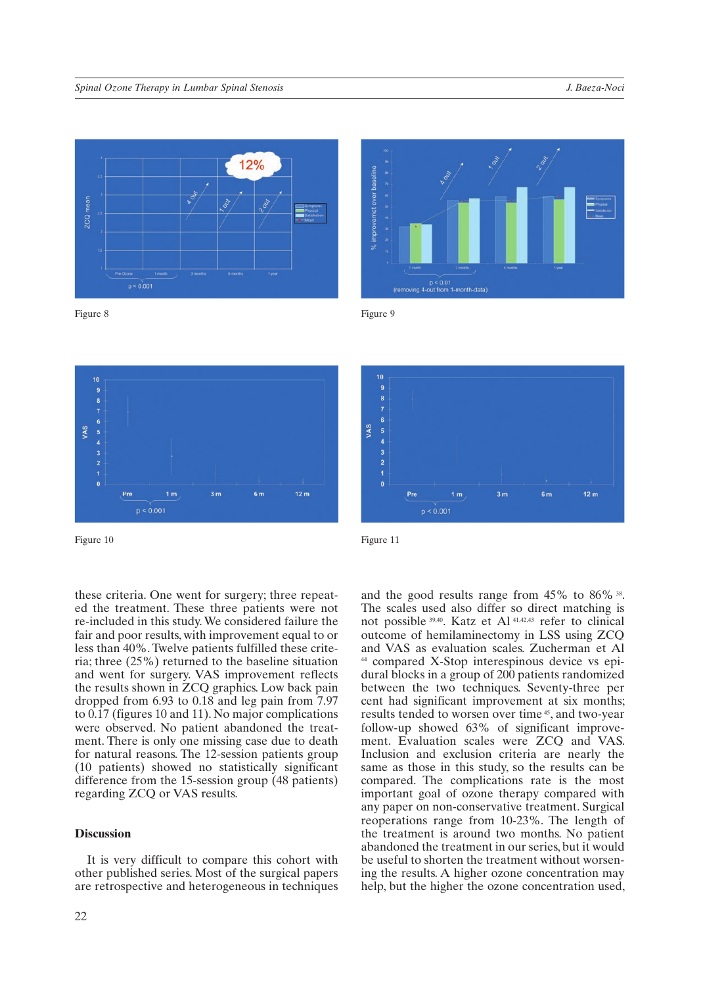

 $p < 0.001$ 

zCQ<sub>mea</sub>









Figure 10 Figure 11

these criteria. One went for surgery; three repeated the treatment. These three patients were not re-included in this study. We considered failure the fair and poor results, with improvement equal to or less than 40%. Twelve patients fulfilled these criteria; three (25%) returned to the baseline situation and went for surgery. VAS improvement reflects the results shown in ZCQ graphics. Low back pain dropped from 6.93 to 0.18 and leg pain from 7.97 to 0.17 (figures 10 and 11). No major complications were observed. No patient abandoned the treatment. There is only one missing case due to death for natural reasons. The 12-session patients group (10 patients) showed no statistically significant difference from the 15-session group (48 patients) regarding ZCQ or VAS results.

# **Discussion**

It is very difficult to compare this cohort with other published series. Most of the surgical papers are retrospective and heterogeneous in techniques

and the good results range from 45% to 86% 38. The scales used also differ so direct matching is not possible 39,40. Katz et Al 41,42,43 refer to clinical outcome of hemilaminectomy in LSS using ZCQ and VAS as evaluation scales. Zucherman et Al 44 compared X-Stop interespinous device vs epidural blocks in a group of 200 patients randomized between the two techniques. Seventy-three per cent had significant improvement at six months; results tended to worsen over time 45, and two-year follow-up showed 63% of significant improvement. Evaluation scales were ZCQ and VAS. Inclusion and exclusion criteria are nearly the same as those in this study, so the results can be compared. The complications rate is the most important goal of ozone therapy compared with any paper on non-conservative treatment. Surgical reoperations range from 10-23%. The length of the treatment is around two months. No patient abandoned the treatment in our series, but it would be useful to shorten the treatment without worsening the results. A higher ozone concentration may help, but the higher the ozone concentration used,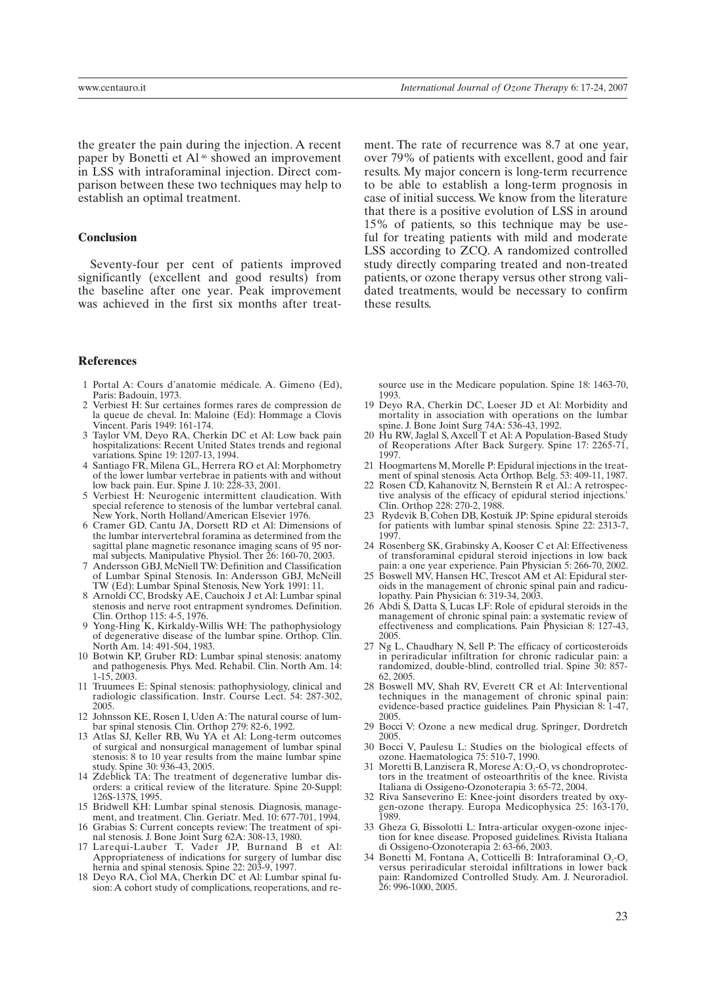the greater the pain during the injection. A recent paper by Bonetti et Al 46 showed an improvement in LSS with intraforaminal injection. Direct comparison between these two techniques may help to establish an optimal treatment.

### **Conclusion**

Seventy-four per cent of patients improved significantly (excellent and good results) from the baseline after one year. Peak improvement was achieved in the first six months after treat-

### **References**

- 1 Portal A: Cours d'anatomie médicale. A. Gimeno (Ed), Paris: Badouin, 1973.
- 2 Verbiest H: Sur certaines formes rares de compression de la queue de cheval. In: Maloine (Ed): Hommage a Clovis Vincent. Paris 1949: 161-174.
- 3 Taylor VM, Deyo RA, Cherkin DC et Al: Low back pain hospitalizations: Recent United States trends and regional variations. Spine 19: 1207-13, 1994.
- 4 Santiago FR, Milena GL, Herrera RO et Al: Morphometry of the lower lumbar vertebrae in patients with and without low back pain. Eur. Spine J. 10: 228-33, 2001.
- 5 Verbiest H: Neurogenic intermittent claudication. With special reference to stenosis of the lumbar vertebral canal. New York, North Holland/American Elsevier 1976.
- 6 Cramer GD, Cantu JA, Dorsett RD et Al: Dimensions of the lumbar intervertebral foramina as determined from the sagittal plane magnetic resonance imaging scans of 95 normal subjects. Manipulative Physiol. Ther 26: 160-70, 2003.
- 7 Andersson GBJ, McNiell TW: Definition and Classification of Lumbar Spinal Stenosis. In: Andersson GBJ, McNeill TW (Ed): Lumbar Spinal Stenosis, New York 1991: 11.
- 8 Arnoldi CC, Brodsky AE, Cauchoix J et Al: Lumbar spinal stenosis and nerve root entrapment syndromes. Definition. Clin. Orthop 115: 4-5, 1976.
- Yong-Hing K, Kirkaldy-Willis WH: The pathophysiology of degenerative disease of the lumbar spine. Orthop. Clin. North Am. 14: 491-504, 1983.
- 10 Botwin KP, Gruber RD: Lumbar spinal stenosis: anatomy and pathogenesis. Phys. Med. Rehabil. Clin. North Am. 14: 1-15, 2003.
- 11 Truumees E: Spinal stenosis: pathophysiology, clinical and radiologic classification. Instr. Course Lect. 54: 287-302, 2005.
- Johnsson KE, Rosen I, Uden A: The natural course of lumbar spinal stenosis. Clin. Orthop 279: 82-6, 1992.
- 13 Atlas SJ, Keller RB, Wu YA et Al: Long-term outcomes of surgical and nonsurgical management of lumbar spinal stenosis: 8 to 10 year results from the maine lumbar spine study. Spine 30: 936-43, 2005.
- 14 Zdeblick TA: The treatment of degenerative lumbar disorders: a critical review of the literature. Spine 20-Suppl: 126S-137S, 1995.
- 15 Bridwell KH: Lumbar spinal stenosis. Diagnosis, management, and treatment. Clin. Geriatr. Med. 10: 677-701, 1994.
- 16 Grabias S: Current concepts review: The treatment of spinal stenosis. J. Bone Joint Surg 62A: 308-13, 1980.
- 17 Larequi-Lauber T, Vader JP, Burnand B et Al: Appropriateness of indications for surgery of lumbar disc hernia and spinal stenosis. Spine 22: 203-9, 1997.
- 18 Deyo RA, Ciol MA, Cherkin DC et Al: Lumbar spinal fusion: A cohort study of complications, reoperations, and re-

ment. The rate of recurrence was 8.7 at one year, over 79% of patients with excellent, good and fair results. My major concern is long-term recurrence to be able to establish a long-term prognosis in case of initial success. We know from the literature that there is a positive evolution of LSS in around 15% of patients, so this technique may be useful for treating patients with mild and moderate LSS according to ZCQ. A randomized controlled study directly comparing treated and non-treated patients, or ozone therapy versus other strong validated treatments, would be necessary to confirm these results.

source use in the Medicare population. Spine 18: 1463-70, 1993.

- 19 Deyo RA, Cherkin DC, Loeser JD et Al: Morbidity and mortality in association with operations on the lumbar spine. J. Bone Joint Surg 74A: 536-43, 1992.
- 20 Hu RW, Jaglal S, Axcell T et Al: A Population-Based Study of Reoperations After Back Surgery. Spine 17: 2265-71, 1997.
- 21 Hoogmartens M, Morelle P: Epidural injections in the treatment of spinal stenosis. Acta Orthop. Belg. 53: 409-11, 1987.
- 22 Rosen CD, Kahanovitz N, Bernstein R et Al.: A retrospective analysis of the efficacy of epidural steriod injections.' Clin. Orthop 228: 270-2, 1988.
- 23 Rydevik B, Cohen DB, Kostuik JP: Spine epidural steroids for patients with lumbar spinal stenosis. Spine 22: 2313-7, 1997.
- 24 Rosenberg SK, Grabinsky A, Kooser C et Al: Effectiveness of transforaminal epidural steroid injections in low back pain: a one year experience. Pain Physician 5: 266-70, 2002.
- 25 Boswell MV, Hansen HC, Trescot AM et Al: Epidural steroids in the management of chronic spinal pain and radiculopathy. Pain Physician 6: 319-34, 2003.
- 26 Abdi S, Datta S, Lucas LF: Role of epidural steroids in the management of chronic spinal pain: a systematic review of effectiveness and complications. Pain Physician 8: 127-43, 2005.
- 27 Ng L, Chaudhary N, Sell P: The efficacy of corticosteroids in periradicular infiltration for chronic radicular pain: a randomized, double-blind, controlled trial. Spine 30: 857- 62, 2005.
- 28 Boswell MV, Shah RV, Everett CR et Al: Interventional techniques in the management of chronic spinal pain: evidence-based practice guidelines. Pain Physician 8: 1-47, 2005.
- 29 Bocci V: Ozone a new medical drug. Springer, Dordretch 2005.
- 30 Bocci V, Paulesu L: Studies on the biological effects of ozone. Haematologica 75: 510-7, 1990.
- 31 Moretti B, Lanzisera R, Morese  $A: O<sub>2</sub>-O<sub>3</sub>$  vs chondroprotectors in the treatment of osteoarthritis of the knee. Rivista Italiana di Ossigeno-Ozonoterapia 3: 65-72, 2004.
- 32 Riva Sanseverino E: Knee-joint disorders treated by oxygen-ozone therapy. Europa Medicophysica 25: 163-170, 1989.
- 33 Gheza G, Bissolotti L: Intra-articular oxygen-ozone injection for knee disease. Proposed guidelines. Rivista Italiana di Ossigeno-Ozonoterapia 2: 63-66, 2003.
- 34 Bonetti M, Fontana A, Cotticelli B: Intraforaminal  $O_2-O_3$ versus periradicular steroidal infiltrations in lower back pain: Randomized Controlled Study. Am. J. Neuroradiol. 26: 996-1000, 2005.